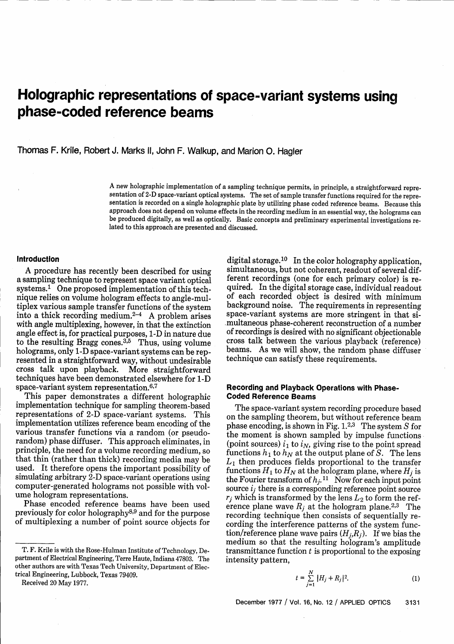# **Holographic representations of space-variant systems using phase-coded reference beams**

Thomas F. Krile, Robert J. Marks 11, John F. Walkup, and Marion 0. Hagler

A new holographic implementation of a sampling technique permits, in principle, a straightforward representation of 2-D space-variant optical systems. The set of sample transfer functions required for the representation is recorded on a single holographic plate by utilizing phase coded reference beams. Because this approach does not depend on volume effects in the recording medium in an essential way, the holograms can be produced digitally, as well as optically. Basic concepts and preliminary experimental investigations related to this approach are presented and discussed.

#### **Introduction**

A procedure has recently been described for using a sampling technique to represent space variant optical systems.1 One proposed implementation of this technique relies on volume hologram effects to angle-multiplex various sample transfer functions of the system<br>into a thick recording medium.<sup>2-4</sup> A problem arises with angle multiplexing, however, in that the extinction angle effect is, for practical purposes, 1-D in nature due to the resulting Bragg cones. $3,5$  Thus, using volume holograms, only 1-D space-variant systems can be represented in a straightforward way, without undesirable cross talk upon playback. More straightforward techniques have been demonstrated elsewhere for 1-D space-variant system representation.<sup>6,7</sup>

This paper demonstrates a different holographic implementation technique for sampling theorem-based representations of 2-D space-variant systems. This implementation utilizes reference beam encoding of the various transfer functions via a random (or pseudorandom) phase diffuser. This approach eliminates, in principle, the need for a volume recording medium, so that thin (rather than thick) recording media may be used. It therefore opens the important possibility of simulating arbitrary 2-D space-variant operations using computer-generated holograms not possible with volume hologram representations.

Phase encoded reference beams have been used previously for color holography<sup>8,9</sup> and for the purpose of multiplexing a number of point source objects for

Received 20 May 1977.

digital storage.<sup>10</sup> In the color holography application, simultaneous, but not coherent, readout of several different recordings (one for each primary color) is required. In the digital storage case, individual readout of each recorded object is desired with minimum<br>background noise. The requirements in representing space-variant systems are more stringent in that simultaneous phase-coherent reconstruction of a number of recordings is desired with no significant objectionable cross talk between the various playback (reference) beams. As we will show, the random phase diffuser technique can satisfy these requirements.

## **Recording and Playback Operations with Phase-Coded Reference Beams**

The space-variant system recording procedure based on the sampling theorem, but without reference beam phase encoding, is shown in Fig.  $1.^{2,3}$  The system S for the moment is shown sampled by impulse functions (point sources)  $i_1$  to  $i_N$ , giving rise to the point spread functions  $h_1$  to  $h_N$  at the output plane of S. The lens  $L_1$  then produces fields proportional to the transfer functions  $H_1$  to  $H_N$  at the hologram plane, where  $H_i$  is the Fourier transform of  $h_j$ .<sup>11</sup> Now for each input point source *ij* there is a corresponding reference point source  $r_j$  which is transformed by the lens  $L_2$  to form the reference plane wave  $R_j$  at the hologram plane.<sup>2,3</sup> The recording technique then consists of sequentially recording the interference patterns of the system function/reference plane wave pairs  $(H_i, R_j)$ . If we bias the medium so that the resulting hologram's amplitude transmittance function  $t$  is proportional to the exposing intensity pattern,

$$
t = \sum_{j=1}^{N} |H_j + R_j|^2.
$$
 (1)

T. F. Krile is with the Rose-Hulman Institute of Technology, Department of Electrical Engineering, Terre Haute, Indiana 47803. The other authors are with Texas Tech University, Department of Electrical Engineering, Lubbock, Texas 79409.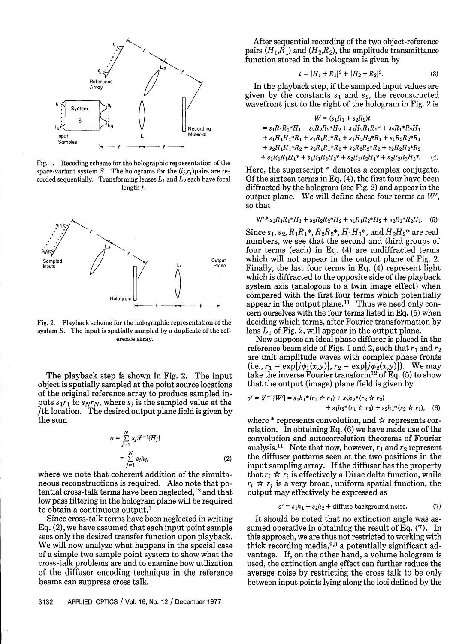

Fig. 1. Recoding scheme for the holographic representation of the space-variant system S. The holograms for the  $(i_i, r_i)$  pairs are recorded sequentially. Transforming lenses  $L_1$  and  $L_2$  each have focal length f.



Fig. 2. Playback scheme for the holographic representation of the system S. The input is spatially sampled by a duplicate of the reference array.

The playback step is shown in Fig. 2. The input object is spatially sampled at the point source locations of the original reference array to produce sampled inputs  $s_1r_1$  to  $s_Nr_N$ , where  $s_i$  is the sampled value at the jth location. The desired output plane field is given by the sum

$$
o = \sum_{j=1}^{N} s_j \mathcal{F}^{-1}{H_j}
$$
  
= 
$$
\sum_{j=1}^{N} s_j h_j,
$$
 (2)

where we note that coherent addition of the simultaneous reconstructions is required. Also note that potential cross-talk terms have been neglected,12 and that low pass filtering in the hologram plane will be required to obtain a continuous output.'

Since cross-talk terms have been neglected in writing Eq. (2), we have assumed that each input point sample sees only the desired transfer function upon playback. We will now analyze what happens in the special case of a simple two sample point system to show what the cross-talk problems are and to examine how utilization of the diffuser encoding technique in the reference beams can suppress cross talk.

After sequential recording of the two object-reference pairs  $(H_1, R_1)$  and  $(H_2, R_2)$ , the amplitude transmittance function stored in the hologram is given by

$$
t = |H_1 + R_1|^2 + |H_2 + R_2|^2. \tag{3}
$$

In the playback step, if the sampled input values are given by the constants  $s_1$  and  $s_2$ , the reconstructed wavefront just to the right of the hologram in Fig. 2 is

$$
W = (s_1R_1 + s_2R_2)t
$$
  
=  $s_1R_1R_1 * H_1 + s_2R_2R_2 * H_2 + s_1H_2R_1R_2 * + s_2R_1 * R_2H_1$   
+  $s_1H_1H_1 * R_1 + s_1R_1R_1 * R_1 + s_1H_2H_2 * R_1 + s_1R_2R_2 * R_1$   
+  $s_2H_1H_1 * R_2 + s_2R_1R_1 * R_2 + s_2R_2R_2 * R_2 + s_2H_2H_2 * R_2$   
+  $s_1R_1R_1H_1 * + s_1R_1R_2H_2 * + s_2R_1R_2H_1 * + s_2R_2R_2H_2 *.$  (4)

Here, the superscript \* denotes a complex conjugate. Of the sixteen terms in Eq. (4), the first four have been diffracted by the hologram (see Fig. 2) and appear in the output plane. We will define these four terms as *W',* so that

$$
W' \triangleq s_1 R_1 R_1 * H_1 + s_2 R_2 R_2 * H_2 + s_1 R_1 R_2 * H_2 + s_2 R_1 * R_2 H_1.
$$
 (5)

Since  $s_1$ ,  $s_2$ ,  $R_1R_1^*$ ,  $R_2R_2^*$ ,  $H_1H_1^*$ , and  $H_2H_2^*$  are real numbers, we see that the second and third groups of four terms (each) in Eq. (4) are undiffracted terms which will not appear in the output plane of Fig. 2. Finally, the last four terms in Eq. (4) represent light which is diffracted to the opposite side of the playback system axis (analogous to a twin image effect) when compared with the first four terms which potentially appear in the output plane.<sup>11</sup> Thus we need only concern ourselves with the four terms listed in Eq. (5) when deciding which terms, after Fourier transformation by lens  $L_1$  of Fig. 2, will appear in the output plane.

Now suppose an ideal phase diffuser is placed in the reference beam side of Figs. 1 and 2, such that  $r_1$  and  $r_2$ are unit amplitude waves with complex phase fronts (i.e.,  $r_1 = \exp[j\phi_1(x,y)]$ ,  $r_2 = \exp[j\phi_2(x,y)]$ ). We may take the inverse Fourier transform<sup>12</sup> of Eq. (5) to show that the output (image) plane field is given by

$$
o' = \mathcal{F}^{-1}{W'} = s_1h_1 * (r_1 \star r_1) + s_2h_2 * (r_2 \star r_2) + s_1h_2 * (r_1 \star r_2) + s_2h_1 * (r_2 \star r_1),
$$
 (6)

where  $*$  represents convolution, and  $*$  represents correlation. In obtaining Eq. (6) we have made use of the convolution and autocorrelation theorems of Fourier analysis.<sup>11</sup> Note that now, however,  $r_1$  and  $r_2$  represent the diffuser patterns seen at the two positions in the input sampling array. If the diffuser has the property that  $r_i \nightharpoonup r_i$  is effectively a Dirac delta function, while  $r_i \nleftrightarrow r_j$  is a very broad, uniform spatial function, the output may effectively be expressed as

$$
o' = s_1 h_1 + s_2 h_2 + \text{diffuse background noise.} \tag{7}
$$

It should be noted that no extinction angle was assumed operative in obtaining the result of Eq. (7). In this approach, we are thus not restricted to working with thick recording media, $2,3$  a potentially significant advantage. If, on the other hand, a volume hologram is used, the extinction angle effect can further reduce the average noise by restricting the cross talk to be only between input points lying along the loci defined by the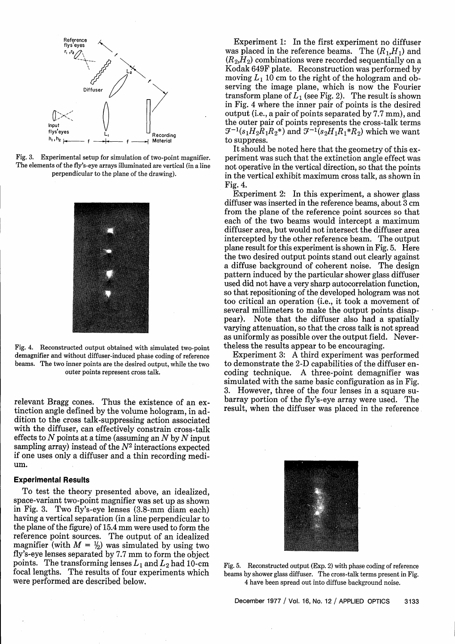

Fig. 3. Experimental setup for simulation of two-point magnifier. The elements of the fly's-eye arrays illuminated are vertical (in a line perpendicular to the plane of the drawing).



Fig. 4. Reconstructed output obtained with simulated two-point demagnifier and without diffuser-induced phase coding of reference beams. The two inner points are the desired output, while the two outer points represent cross talk.

relevant Bragg cones. Thus the existence of an extinction angle defined by the volume hologram, in addition to the cross talk-suppressing action associated with the diffuser, can effectively constrain cross-talk effects to N points at a time (assuming an *N* by *N* input sampling array) instead of the  $N^2$  interactions expected if one uses only a diffuser and a thin recording medium.

## **Experimental Results**

To test the theory presented above, an idealized, space-variant two-point magnifier was set up as shown in Fig. 3. Two fly's-eye lenses (3.8-mm diam each) having a vertical separation (in a line perpendicular to the plane of the figure) of 15.4 mm were used to form the reference point sources. The output of an idealized magnifier (with  $M = \frac{1}{2}$ ) was simulated by using two fly's-eye lenses separated by 7.7 mm to form the object points. The transforming lenses  $L_1$  and  $L_2$  had 10-cm focal lengths. The results of four experiments which were performed are described below.

Experiment 1: In the first experiment no diffuser was placed in the reference beams. The  $(R_1,H_1)$  and  $(R<sub>2</sub>,H<sub>2</sub>)$  combinations were recorded sequentially on a Kodak 649F plate. Reconstruction was performed by moving  $L_1$  10 cm to the right of the hologram and observing the image plane, which is now the Fourier transform plane of  $\hat{L_1}$  (see Fig. 2). The result is shown in Fig. 4 where the inner pair of points is the desired output (i.e., a pair of points separated by 7.7 mm), and the outer pair of points represents the cross-talk terms  $7^{-1}(s_1H_2R_1R_2^*)$  and  $7^{-1}(s_2H_1R_1^*R_2)$  which we want to suppress.

It should be noted here that the geometry of this experiment was such that the extinction angle effect was not operative in the vertical direction, so that the points in the vertical exhibit maximum cross talk, as shown in Fig. 4.

Experiment 2: In this experiment, a shower glass diffuser was inserted in the reference beams, about 3 cm from the plane of the reference point sources so that each of the two beams would intercept a maximum diffuser area, but would not intersect the diffuser area intercepted by the other reference beam. The output plane result for this experiment is shown in Fig. 5. Here the two desired output points stand out clearly against a diffuse background of coherent noise. The design pattern induced by the particular shower glass diffuser used did not have a very sharp autocorrelation function, so that repositioning of the developed hologram was not too critical an operation (i.e., it took a movement of several millimeters to make the output points disappear). Note that the diffuser also had a spatially varying attenuation, so that the cross talk is not spread as uniformly as possible over the output field. Nevertheless the results appear to be encouraging.

Experiment 3: A third experiment was performed to demonstrate the 2-D capabilities of the diffuser encoding technique. A three-point demagnifier was simulated with the same basic configuration as in Fig. 3. However, three of the four lenses in a square subarray portion of the fly's-eye array were used. The result, when the diffuser was placed in the reference



Fig. 5. Reconstructed output (Exp. 2) with phase coding of reference beams by shower glass diffuser. The cross-talk terms present in Fig. 4 have been spread out into diffuse background noise.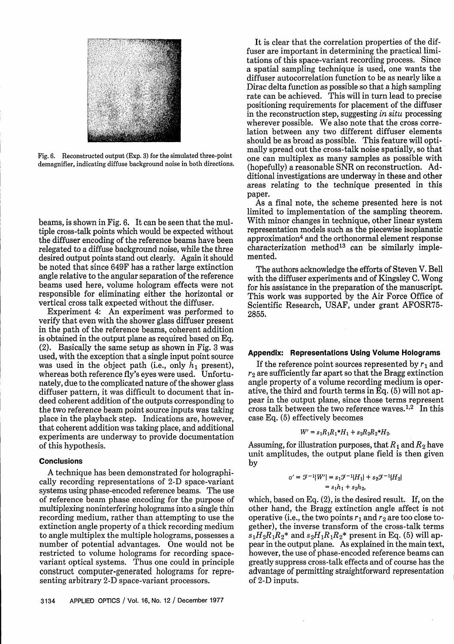

Fig. 6. Reconstructed output (Exp. 3) for the simulated three-point demagnifier, indicating diffuse background noise in both directions.

beams, is shown in Fig. 6. It can be seen that the multiple cross-talk points which would be expected without the diffuser encoding of the reference beams have been relegated to a diffuse background noise, while the three desired output points stand out clearly. Again it should be noted that since 649F has a rather large extinction angle relative to the angular separation of the reference beams used here, volume hologram effects were not responsible for eliminating either the horizontal or vertical cross talk expected without the diffuser.

Experiment 4: An experiment was performed to verify that even with the shower glass diffuser present in the path of the reference beams, coherent addition is obtained in the output plane as required based on Eq. (2). Basically the same setup as shown in Fig. 3 was used, with the exception that a single input point source was used in the object path (i.e., only *h,* present), whereas both reference fly's eyes were used. Unfortunately, due to the complicated nature of the shower glass diffuser pattern, it was difficult to document that indeed coherent addition of the outputs corresponding to the two reference beam point source inputs was taking place in the playback step. Indications are, however, that coherent addition was taking place, and additional experiments are underway to provide documentation of this hypothesis.

#### **Conclusions**

A technique has been demonstrated for holographically recording representations of 2-D space-variant systems using phase-encoded reference beams. The use of reference beam phase encoding for the purpose of multiplexing noninterfering holograms into a single thin recording medium, rather than attempting to use the extinction angle property of a thick recording medium to angle multiplex the multiple holograms, possesses a number of potential advantages. One would not be restricted to volume holograms for recording spacevariant optical systems. Thus one could in principle construct computer-generated holograms for representing arbitrary 2-D space-variant processors.

It is clear that the correlation properties of the diffuser are important in determining the practical limitations of this space-variant recording process. Since a spatial sampling technique is used, one wants the diffuser autocorrelation function to be as nearly like a Dirac delta function as possible so that a high sampling rate can be achieved. This will in turn lead to precise positioning requirements for placement of the diffuser in the reconstruction step, suggesting *in situ* processing wherever possible. We also note that the cross correlation between any two different diffuser elements should be as broad as possible. This feature will optimally spread out the cross-talk noise spatially, so that one can multiplex as many samples as possible with (hopefully) a reasonable SNR on reconstruction. Additional investigations are underway in these and other areas relating to the technique presented in this paper.

As a final note, the scheme presented here is not limited to implementation of the sampling theorem. With minor changes in technique, other linear system representation models such as the piecewise isoplanatic approximation4 and the orthonormal element response characterization method<sup>13</sup> can be similarly implemented.

The authors acknowledge the efforts of Steven V. Bell with the diffuser experiments and of Kingsley C. Wong for his assistance in the preparation of the manuscript. This work was supported by the Air Force Office of Scientific Research, USAF, under grant AFOSR75- 2855.

#### **Appendix: Representations Using Volume Holograms**

If the reference point sources represented by *r1* and  $r<sub>2</sub>$  are sufficiently far apart so that the Bragg extinction angle property of a volume recording medium is operative, the third and fourth terms in Eq. (5) will not appear in the output plane, since those terms represent cross talk between the two reference waves.<sup>1,2</sup> In this case Eq. (5) effectively becomes

$$
W' = s_1 R_1 R_1 * H_1 + s_2 R_2 R_2 * H_2.
$$

Assuming, for illustration purposes, that  $R_1$  and  $R_2$  have unit amplitudes, the output plane field is then given by

$$
y' = \mathcal{F}^{-1}{W'} = s_1 \mathcal{F}^{-1}{H_1} + s_2 \mathcal{F}^{-1}{H_2}
$$
  
=  $s_1 h_1 + s_2 h_2$ ,

which, based on Eq. (2), is the desired result. If, on the other hand, the Bragg extinction angle affect is not operative (i.e., the two points  $r_1$  and  $r_2$  are too close together), the inverse transform of the cross-talk terms  $s_1H_2R_1R_2^*$  and  $s_2H_1R_1R_2^*$  present in Eq. (5) will appear in the output plane. As explained in the main text, however, the use of phase-encoded reference beams can greatly suppress cross-talk effects and of course has the advantage of permitting straightforward representation of 2-D inputs.